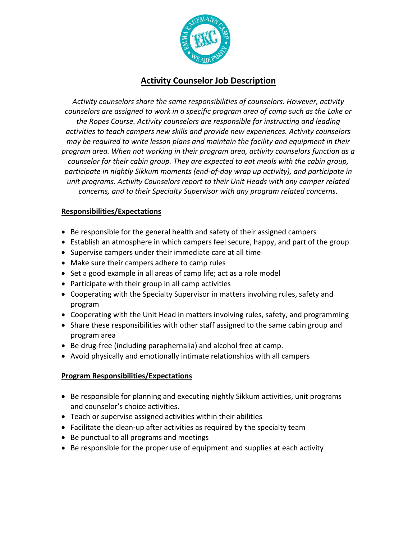

## **Activity Counselor Job Description**

*Activity counselors share the same responsibilities of counselors. However, activity counselors are assigned to work in a specific program area of camp such as the Lake or the Ropes Course. Activity counselors are responsible for instructing and leading activities to teach campers new skills and provide new experiences. Activity counselors may be required to write lesson plans and maintain the facility and equipment in their program area. When not working in their program area, activity counselors function as a counselor for their cabin group. They are expected to eat meals with the cabin group, participate in nightly Sikkum moments (end-of-day wrap up activity), and participate in unit programs. Activity Counselors report to their Unit Heads with any camper related concerns, and to their Specialty Supervisor with any program related concerns.*

## **Responsibilities/Expectations**

- Be responsible for the general health and safety of their assigned campers
- Establish an atmosphere in which campers feel secure, happy, and part of the group
- Supervise campers under their immediate care at all time
- Make sure their campers adhere to camp rules
- Set a good example in all areas of camp life; act as a role model
- Participate with their group in all camp activities
- Cooperating with the Specialty Supervisor in matters involving rules, safety and program
- Cooperating with the Unit Head in matters involving rules, safety, and programming
- Share these responsibilities with other staff assigned to the same cabin group and program area
- Be drug-free (including paraphernalia) and alcohol free at camp.
- Avoid physically and emotionally intimate relationships with all campers

## **Program Responsibilities/Expectations**

- **Be responsible for planning and executing nightly Sikkum activities, unit programs** and counselor's choice activities.
- Teach or supervise assigned activities within their abilities
- Facilitate the clean-up after activities as required by the specialty team
- Be punctual to all programs and meetings
- **Be responsible for the proper use of equipment and supplies at each activity**